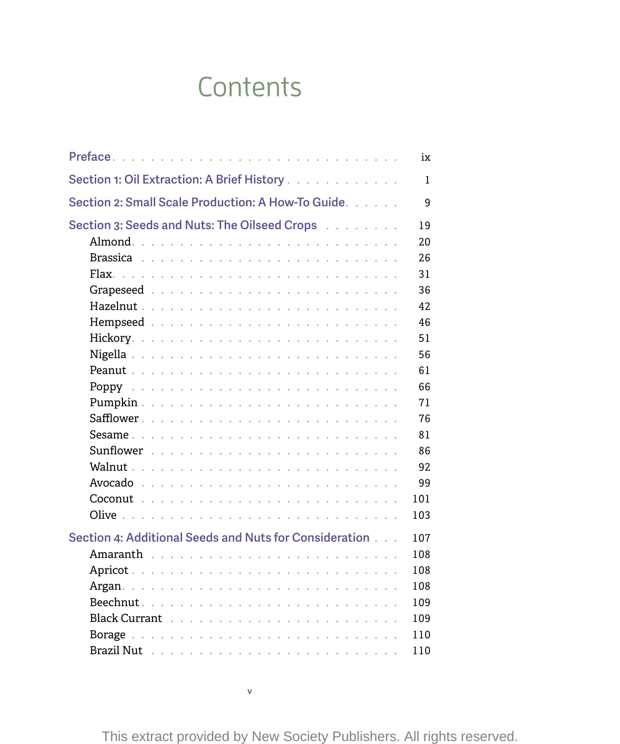## **Contents**

|                                                        | ix           |
|--------------------------------------------------------|--------------|
| Section 1: Oil Extraction: A Brief History             | 1            |
| Section 2: Small Scale Production: A How-To Guide.     | 9            |
| Section 3: Seeds and Nuts: The Oilseed Crops           | 19           |
|                                                        | $20^{\circ}$ |
|                                                        | 26           |
|                                                        | 31           |
|                                                        | 36           |
|                                                        | 42           |
|                                                        | 46           |
|                                                        | 51           |
|                                                        | 56           |
|                                                        | 61           |
|                                                        | 66           |
|                                                        | 71           |
|                                                        | 76           |
|                                                        | 81           |
|                                                        | 86           |
|                                                        | 92           |
|                                                        | 99           |
|                                                        | 101          |
|                                                        | 103          |
|                                                        |              |
| Section 4: Additional Seeds and Nuts for Consideration | 107          |
|                                                        | 108          |
|                                                        | 108          |
|                                                        | 108          |
|                                                        | 109          |
|                                                        | 109          |
|                                                        | 110          |
|                                                        | 110          |

v

This extract provided by New Society Publishers. All rights reserved.